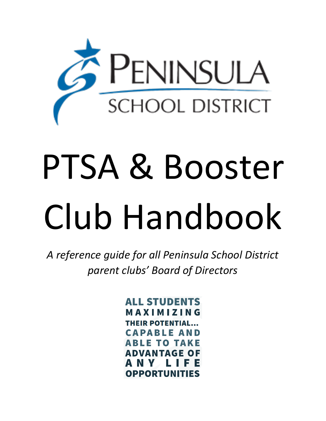

# PTSA & Booster Club Handbook

*A reference guide for all Peninsula School District parent clubs' Board of Directors*

> **ALL STUDENTS MAXIMIZING THEIR POTENTIAL... CAPABLE AND ABLE TO TAKE ADVANTAGE OF** A N Y L II **OPPORTUNITIES**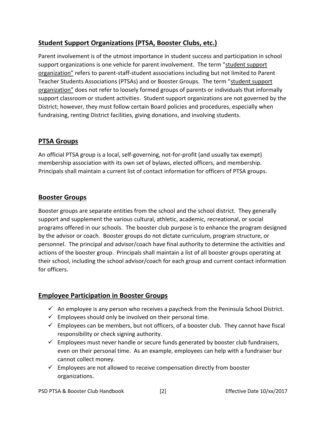# **Student Support Organizations (PTSA, Booster Clubs, etc.)**

Parent involvement is of the utmost importance in student success and participation in school support organizations is one vehicle for parent involvement. The term "student support organization" refers to parent-staff-student associations including but not limited to Parent Teacher Students Associations (PTSAs) and or Booster Groups. The term "student support organization" does not refer to loosely formed groups of parents or individuals that informally support classroom or student activities. Student support organizations are not governed by the District; however, they must follow certain Board policies and procedures, especially when fundraising, renting District facilities, giving donations, and involving students.

#### **PTSA Groups**

An official PTSA group is a local, self-governing, not-for-profit (and usually tax exempt) membership association with its own set of bylaws, elected officers, and membership. Principals shall maintain a current list of contact information for officers of PTSA groups.

#### **Booster Groups**

Booster groups are separate entities from the school and the school district. They generally support and supplement the various cultural, athletic, academic, recreational, or social programs offered in our schools. The booster club purpose is to enhance the program designed by the advisor or coach. Booster groups do not dictate curriculum, program structure, or personnel. The principal and advisor/coach have final authority to determine the activities and actions of the booster group. Principals shall maintain a list of all booster groups operating at their school, including the school advisor/coach for each group and current contact information for officers.

#### **Employee Participation in Booster Groups**

- $\checkmark$  An employee is any person who receives a paycheck from the Peninsula School District.
- $\checkmark$  Employees should only be involved on their personal time.
- $\checkmark$  Employees can be members, but not officers, of a booster club. They cannot have fiscal responsibility or check signing authority.
- $\checkmark$  Employees must never handle or secure funds generated by booster club fundraisers, even on their personal time. As an example, employees can help with a fundraiser bur cannot collect money.
- $\checkmark$  Employees are not allowed to receive compensation directly from booster organizations.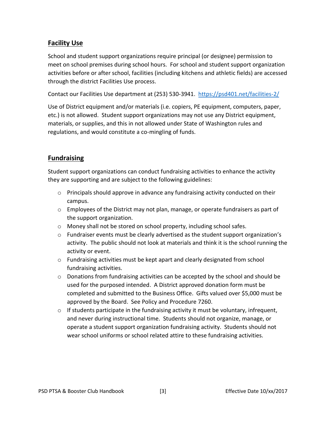## **Facility Use**

School and student support organizations require principal (or designee) permission to meet on school premises during school hours. For school and student support organization activities before or after school, facilities (including kitchens and athletic fields) are accessed through the district Facilities Use process.

Contact our Facilities Use department at (253) 530-3941. <https://psd401.net/facilities-2/>

Use of District equipment and/or materials (i.e. copiers, PE equipment, computers, paper, etc.) is not allowed. Student support organizations may not use any District equipment, materials, or supplies, and this in not allowed under State of Washington rules and regulations, and would constitute a co-mingling of funds.

## **Fundraising**

Student support organizations can conduct fundraising activities to enhance the activity they are supporting and are subject to the following guidelines:

- o Principals should approve in advance any fundraising activity conducted on their campus.
- $\circ$  Employees of the District may not plan, manage, or operate fundraisers as part of the support organization.
- $\circ$  Money shall not be stored on school property, including school safes.
- $\circ$  Fundraiser events must be clearly advertised as the student support organization's activity. The public should not look at materials and think it is the school running the activity or event.
- o Fundraising activities must be kept apart and clearly designated from school fundraising activities.
- $\circ$  Donations from fundraising activities can be accepted by the school and should be used for the purposed intended. A District approved donation form must be completed and submitted to the Business Office. Gifts valued over \$5,000 must be approved by the Board. See Policy and Procedure 7260.
- $\circ$  If students participate in the fundraising activity it must be voluntary, infrequent, and never during instructional time. Students should not organize, manage, or operate a student support organization fundraising activity. Students should not wear school uniforms or school related attire to these fundraising activities.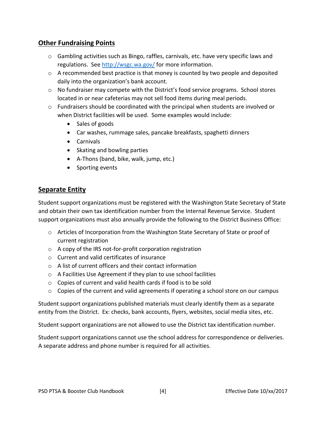#### **Other Fundraising Points**

- $\circ$  Gambling activities such as Bingo, raffles, carnivals, etc. have very specific laws and regulations. See<http://wsgc.wa.gov/> for more information.
- $\circ$  A recommended best practice is that money is counted by two people and deposited daily into the organization's bank account.
- $\circ$  No fundraiser may compete with the District's food service programs. School stores located in or near cafeterias may not sell food items during meal periods.
- $\circ$  Fundraisers should be coordinated with the principal when students are involved or when District facilities will be used. Some examples would include:
	- Sales of goods
	- Car washes, rummage sales, pancake breakfasts, spaghetti dinners
	- Carnivals
	- Skating and bowling parties
	- A-Thons (band, bike, walk, jump, etc.)
	- Sporting events

#### **Separate Entity**

Student support organizations must be registered with the Washington State Secretary of State and obtain their own tax identification number from the Internal Revenue Service. Student support organizations must also annually provide the following to the District Business Office:

- o Articles of Incorporation from the Washington State Secretary of State or proof of current registration
- o A copy of the IRS not-for-profit corporation registration
- o Current and valid certificates of insurance
- o A list of current officers and their contact information
- o A Facilities Use Agreement if they plan to use school facilities
- o Copies of current and valid health cards if food is to be sold
- $\circ$  Copies of the current and valid agreements if operating a school store on our campus

Student support organizations published materials must clearly identify them as a separate entity from the District. Ex: checks, bank accounts, flyers, websites, social media sites, etc.

Student support organizations are not allowed to use the District tax identification number.

Student support organizations cannot use the school address for correspondence or deliveries. A separate address and phone number is required for all activities.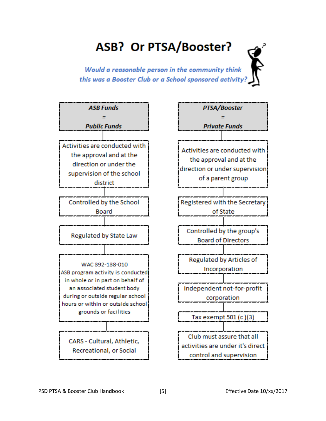# ASB? Or PTSA/Booster?

Would a reasonable person in the community think this was a Booster Club or a School sponsored activity?

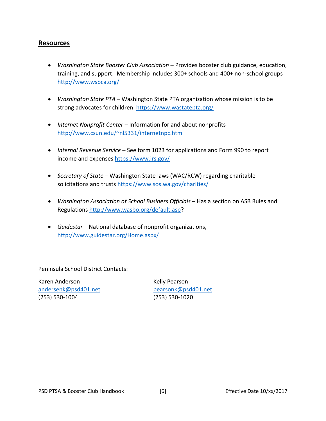#### **Resources**

- *Washington State Booster Club Association* Provides booster club guidance, education, training, and support. Membership includes 300+ schools and 400+ non-school groups <http://www.wsbca.org/>
- *Washington State PTA* Washington State PTA organization whose mission is to be strong advocates for children <https://www.wastatepta.org/>
- *Internet Nonprofit Center* Information for and about nonprofits <http://www.csun.edu/~nl5331/internetnpc.html>
- *Internal Revenue Service* See form 1023 for applications and Form 990 to report income and expenses<https://www.irs.gov/>
- *Secretary of State* Washington State laws (WAC/RCW) regarding charitable solicitations and trusts<https://www.sos.wa.gov/charities/>
- *Washington Association of School Business Officials* Has a section on ASB Rules and Regulations [http://www.wasbo.org/default.asp?](http://www.wasbo.org/default.asp)
- *Guidestar* National database of nonprofit organizations, <http://www.guidestar.org/Home.aspx/>

Peninsula School District Contacts:

Karen Anderson **Kelly Pearson** [andersenk@psd401.net](mailto:andersenk@psd401.net) [pearsonk@psd401.net](mailto:pearsonk@psd401.net) (253) 530-1004 (253) 530-1020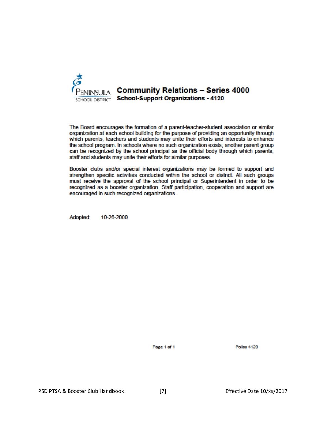

The Board encourages the formation of a parent-teacher-student association or similar organization at each school building for the purpose of providing an opportunity through which parents, teachers and students may unite their efforts and interests to enhance the school program. In schools where no such organization exists, another parent group can be recognized by the school principal as the official body through which parents, staff and students may unite their efforts for similar purposes.

Booster clubs and/or special interest organizations may be formed to support and strengthen specific activities conducted within the school or district. All such groups must receive the approval of the school principal or Superintendent in order to be recognized as a booster organization. Staff participation, cooperation and support are encouraged in such recognized organizations.

Adopted: 10-26-2000

Page 1 of 1

Policy 4120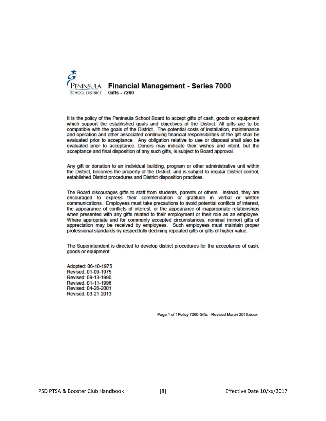

It is the policy of the Peninsula School Board to accept gifts of cash, goods or equipment which support the established goals and objectives of the District. All gifts are to be compatible with the goals of the District. The potential costs of installation, maintenance and operation and other associated continuing financial responsibilities of the gift shall be evaluated prior to acceptance. Any obligation relative to use or disposal shall also be evaluated prior to acceptance. Donors may indicate their wishes and intent, but the acceptance and final disposition of any such gifts, is subject to Board approval.

Any gift or donation to an individual building, program or other administrative unit within the District, becomes the property of the District, and is subject to regular District control, established District procedures and District disposition practices.

The Board discourages gifts to staff from students, parents or others. Instead, they are encouraged to express their commendation or gratitude in verbal or written communications. Employees must take precautions to avoid potential conflicts of interest, the appearance of conflicts of interest, or the appearance of inappropriate relationships when presented with any gifts related to their employment or their role as an employee. Where appropriate and for commonly accepted circumstances, nominal (minor) gifts of appreciation may be received by employees. Such employees must maintain proper professional standards by respectfully declining repeated gifts or gifts of higher value.

The Superintendent is directed to develop district procedures for the acceptance of cash, goods or equipment.

Adopted: 06-10-1975 Revised: 01-09-1975 Revised: 09-13-1990 Revised: 01-11-1996 Revised: 04-26-2001 Revised: 03-21-2013

Page 1 of 1Policy 7260 Gifts - Revised March 2013.docx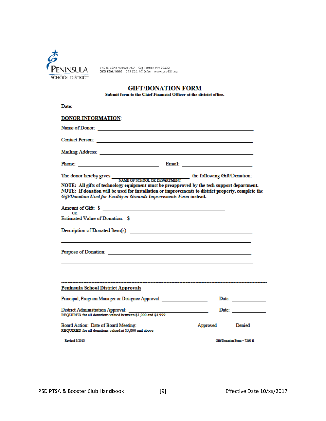

14015 62nd Avenue NW - Gig Harbor, WA 98332<br>**253 530.1000** - 253 530.1010 fax - www.pxd401.net

#### **GIFT/DONATION FORM**

Submit form to the Chief Financial Officer at the district office.

| Date:                                                                                                                                                                                                                          |                                                                                                                                                                                                                               |
|--------------------------------------------------------------------------------------------------------------------------------------------------------------------------------------------------------------------------------|-------------------------------------------------------------------------------------------------------------------------------------------------------------------------------------------------------------------------------|
| <b>DONOR INFORMATION:</b>                                                                                                                                                                                                      |                                                                                                                                                                                                                               |
|                                                                                                                                                                                                                                |                                                                                                                                                                                                                               |
|                                                                                                                                                                                                                                |                                                                                                                                                                                                                               |
| Mailing Address: National Address: National Address: National Address: National Address: National Address: National Address: National Address: National Address: National Address: National Address: National Address: Nationa |                                                                                                                                                                                                                               |
|                                                                                                                                                                                                                                |                                                                                                                                                                                                                               |
|                                                                                                                                                                                                                                |                                                                                                                                                                                                                               |
| NOTE: All gifts of technology equipment must be preapproved by the tech support department.<br>Gift/Donation Used for Facility or Grounds Improvements Form instead.                                                           | NOTE: If donation will be used for installation or improvements to district property, complete the                                                                                                                            |
| Amount of Gift: \$                                                                                                                                                                                                             |                                                                                                                                                                                                                               |
| Estimated Value of Donation: \$                                                                                                                                                                                                |                                                                                                                                                                                                                               |
|                                                                                                                                                                                                                                |                                                                                                                                                                                                                               |
|                                                                                                                                                                                                                                |                                                                                                                                                                                                                               |
|                                                                                                                                                                                                                                |                                                                                                                                                                                                                               |
| <b>Peninsula School District Approvals</b>                                                                                                                                                                                     |                                                                                                                                                                                                                               |
| Principal, Program Manager or Designee Approval:                                                                                                                                                                               | Date: and the state of the state of the state of the state of the state of the state of the state of the state of the state of the state of the state of the state of the state of the state of the state of the state of the |
| <b>District Administration Approval:</b><br>REQUIRED for all donations valued between \$1,000 and \$4,999                                                                                                                      | the control of the control of                                                                                                                                                                                                 |
| REQUIRED for all donations valued at \$5,000 and above                                                                                                                                                                         | Approved Denied                                                                                                                                                                                                               |
| <b>Revised 3/2013</b>                                                                                                                                                                                                          | Gift/Donation Form - 7260 fl                                                                                                                                                                                                  |